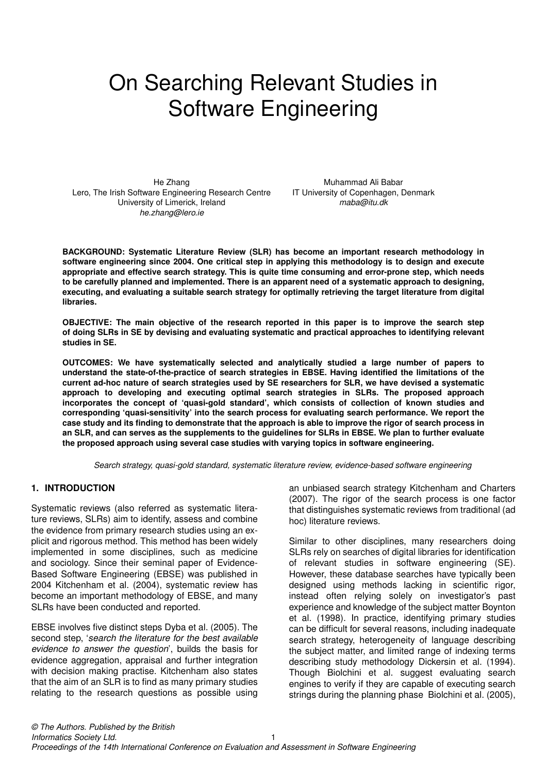# On Searching Relevant Studies in Software Engineering

He Zhang Lero, The Irish Software Engineering Research Centre University of Limerick, Ireland *he.zhang@lero.ie*

Muhammad Ali Babar IT University of Copenhagen, Denmark *maba@itu.dk*

**BACKGROUND: Systematic Literature Review (SLR) has become an important research methodology in software engineering since 2004. One critical step in applying this methodology is to design and execute appropriate and effective search strategy. This is quite time consuming and error-prone step, which needs to be carefully planned and implemented. There is an apparent need of a systematic approach to designing, executing, and evaluating a suitable search strategy for optimally retrieving the target literature from digital libraries.**

**OBJECTIVE: The main objective of the research reported in this paper is to improve the search step of doing SLRs in SE by devising and evaluating systematic and practical approaches to identifying relevant studies in SE.**

**OUTCOMES: We have systematically selected and analytically studied a large number of papers to understand the state-of-the-practice of search strategies in EBSE. Having identified the limitations of the current ad-hoc nature of search strategies used by SE researchers for SLR, we have devised a systematic approach to developing and executing optimal search strategies in SLRs. The proposed approach incorporates the concept of 'quasi-gold standard', which consists of collection of known studies and corresponding 'quasi-sensitivity' into the search process for evaluating search performance. We report the case study and its finding to demonstrate that the approach is able to improve the rigor of search process in an SLR, and can serves as the supplements to the guidelines for SLRs in EBSE. We plan to further evaluate the proposed approach using several case studies with varying topics in software engineering.**

*Search strategy, quasi-gold standard, systematic literature review, evidence-based software engineering*

# **1. INTRODUCTION**

Systematic reviews (also referred as systematic literature reviews, SLRs) aim to identify, assess and combine the evidence from primary research studies using an explicit and rigorous method. This method has been widely implemented in some disciplines, such as medicine and sociology. Since their seminal paper of Evidence-Based Software Engineering (EBSE) was published in 2004 Kitchenham et al. (2004), systematic review has become an important methodology of EBSE, and many SLRs have been conducted and reported.

EBSE involves five distinct steps Dyba et al. (2005). The second step, '*search the literature for the best available evidence to answer the question*', builds the basis for evidence aggregation, appraisal and further integration with decision making practise. Kitchenham also states that the aim of an SLR is to find as many primary studies relating to the research questions as possible using an unbiased search strategy Kitchenham and Charters (2007). The rigor of the search process is one factor that distinguishes systematic reviews from traditional (ad hoc) literature reviews.

Similar to other disciplines, many researchers doing SLRs rely on searches of digital libraries for identification of relevant studies in software engineering (SE). However, these database searches have typically been designed using methods lacking in scientific rigor, instead often relying solely on investigator's past experience and knowledge of the subject matter Boynton et al. (1998). In practice, identifying primary studies can be difficult for several reasons, including inadequate search strategy, heterogeneity of language describing the subject matter, and limited range of indexing terms describing study methodology Dickersin et al. (1994). Though Biolchini et al. suggest evaluating search engines to verify if they are capable of executing search strings during the planning phase Biolchini et al. (2005),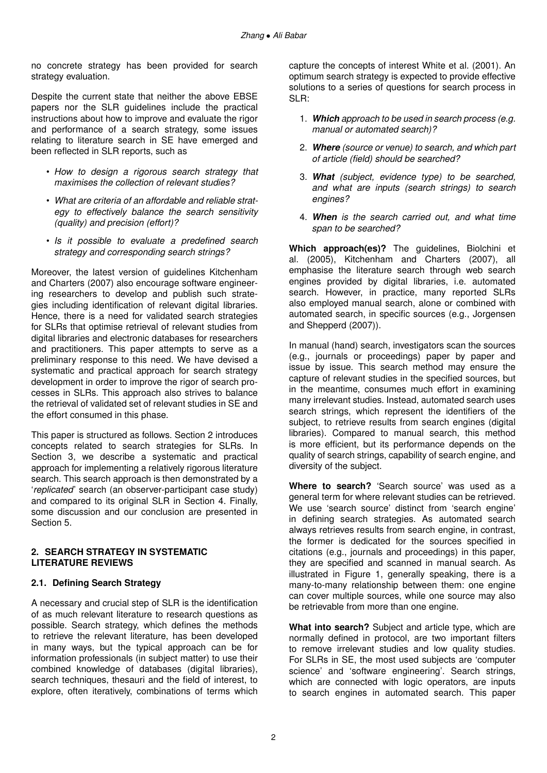no concrete strategy has been provided for search strategy evaluation.

Despite the current state that neither the above EBSE papers nor the SLR guidelines include the practical instructions about how to improve and evaluate the rigor and performance of a search strategy, some issues relating to literature search in SE have emerged and been reflected in SLR reports, such as

- *How to design a rigorous search strategy that maximises the collection of relevant studies?*
- *What are criteria of an affordable and reliable strategy to effectively balance the search sensitivity (quality) and precision (effort)?*
- *Is it possible to evaluate a predefined search strategy and corresponding search strings?*

Moreover, the latest version of guidelines Kitchenham and Charters (2007) also encourage software engineering researchers to develop and publish such strategies including identification of relevant digital libraries. Hence, there is a need for validated search strategies for SLRs that optimise retrieval of relevant studies from digital libraries and electronic databases for researchers and practitioners. This paper attempts to serve as a preliminary response to this need. We have devised a systematic and practical approach for search strategy development in order to improve the rigor of search processes in SLRs. This approach also strives to balance the retrieval of validated set of relevant studies in SE and the effort consumed in this phase.

This paper is structured as follows. Section 2 introduces concepts related to search strategies for SLRs. In Section 3, we describe a systematic and practical approach for implementing a relatively rigorous literature search. This search approach is then demonstrated by a '*replicated*' search (an observer-participant case study) and compared to its original SLR in Section 4. Finally, some discussion and our conclusion are presented in Section 5.

# **2. SEARCH STRATEGY IN SYSTEMATIC LITERATURE REVIEWS**

# **2.1. Defining Search Strategy**

A necessary and crucial step of SLR is the identification of as much relevant literature to research questions as possible. Search strategy, which defines the methods to retrieve the relevant literature, has been developed in many ways, but the typical approach can be for information professionals (in subject matter) to use their combined knowledge of databases (digital libraries), search techniques, thesauri and the field of interest, to explore, often iteratively, combinations of terms which capture the concepts of interest White et al. (2001). An optimum search strategy is expected to provide effective solutions to a series of questions for search process in SLR:

- 1. *Which approach to be used in search process (e.g. manual or automated search)?*
- 2. *Where (source or venue) to search, and which part of article (field) should be searched?*
- 3. *What (subject, evidence type) to be searched, and what are inputs (search strings) to search engines?*
- 4. *When is the search carried out, and what time span to be searched?*

**Which approach(es)?** The guidelines, Biolchini et al. (2005), Kitchenham and Charters (2007), all emphasise the literature search through web search engines provided by digital libraries, i.e. automated search. However, in practice, many reported SLRs also employed manual search, alone or combined with automated search, in specific sources (e.g., Jorgensen and Shepperd (2007)).

In manual (hand) search, investigators scan the sources (e.g., journals or proceedings) paper by paper and issue by issue. This search method may ensure the capture of relevant studies in the specified sources, but in the meantime, consumes much effort in examining many irrelevant studies. Instead, automated search uses search strings, which represent the identifiers of the subject, to retrieve results from search engines (digital libraries). Compared to manual search, this method is more efficient, but its performance depends on the quality of search strings, capability of search engine, and diversity of the subject.

**Where to search?** 'Search source' was used as a general term for where relevant studies can be retrieved. We use 'search source' distinct from 'search engine' in defining search strategies. As automated search always retrieves results from search engine, in contrast, the former is dedicated for the sources specified in citations (e.g., journals and proceedings) in this paper, they are specified and scanned in manual search. As illustrated in Figure 1, generally speaking, there is a many-to-many relationship between them: one engine can cover multiple sources, while one source may also be retrievable from more than one engine.

**What into search?** Subject and article type, which are normally defined in protocol, are two important filters to remove irrelevant studies and low quality studies. For SLRs in SE, the most used subjects are 'computer science' and 'software engineering'. Search strings, which are connected with logic operators, are inputs to search engines in automated search. This paper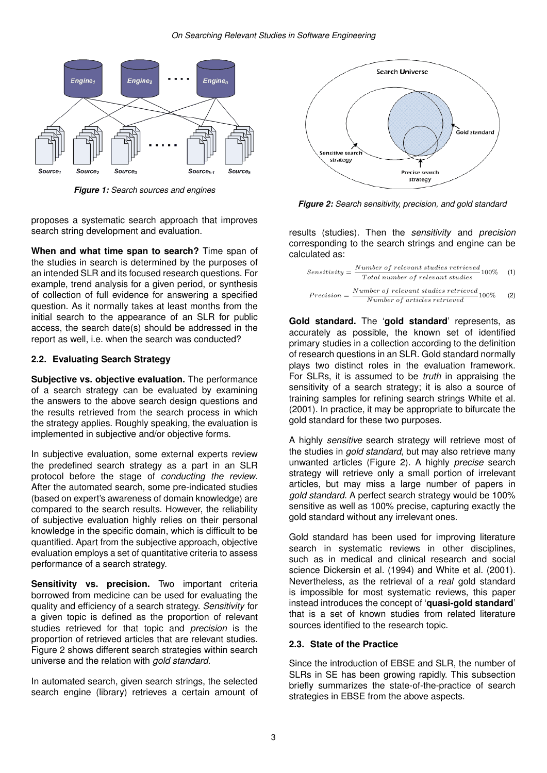

*Figure 1: Search sources and engines*

proposes a systematic search approach that improves search string development and evaluation.

**When and what time span to search?** Time span of the studies in search is determined by the purposes of an intended SLR and its focused research questions. For example, trend analysis for a given period, or synthesis of collection of full evidence for answering a specified question. As it normally takes at least months from the initial search to the appearance of an SLR for public access, the search date(s) should be addressed in the report as well, i.e. when the search was conducted?

#### **2.2. Evaluating Search Strategy**

**Subjective vs. objective evaluation.** The performance of a search strategy can be evaluated by examining the answers to the above search design questions and the results retrieved from the search process in which the strategy applies. Roughly speaking, the evaluation is implemented in subjective and/or objective forms.

In subjective evaluation, some external experts review the predefined search strategy as a part in an SLR protocol before the stage of *conducting the review*. After the automated search, some pre-indicated studies (based on expert's awareness of domain knowledge) are compared to the search results. However, the reliability of subjective evaluation highly relies on their personal knowledge in the specific domain, which is difficult to be quantified. Apart from the subjective approach, objective evaluation employs a set of quantitative criteria to assess performance of a search strategy.

Sensitivity vs. precision. Two important criteria borrowed from medicine can be used for evaluating the quality and efficiency of a search strategy. *Sensitivity* for a given topic is defined as the proportion of relevant studies retrieved for that topic and *precision* is the proportion of retrieved articles that are relevant studies. Figure 2 shows different search strategies within search universe and the relation with *gold standard*.

In automated search, given search strings, the selected search engine (library) retrieves a certain amount of



*Figure 2: Search sensitivity, precision, and gold standard*

results (studies). Then the *sensitivity* and *precision* corresponding to the search strings and engine can be calculated as:

Sensitivity = 
$$
\frac{Number\ of\ relevant\ studies\ retrieved}{Total\ number\ of\ relevant\ studies}100\%
$$
 (1)  
Precision = 
$$
\frac{Number\ of\ relevant\ studies\ retrieved}{Number\ of\ articles\ retrieved}100\%
$$
 (2)

**Gold standard.** The '**gold standard**' represents, as accurately as possible, the known set of identified primary studies in a collection according to the definition of research questions in an SLR. Gold standard normally plays two distinct roles in the evaluation framework. For SLRs, it is assumed to be *truth* in appraising the sensitivity of a search strategy; it is also a source of training samples for refining search strings White et al. (2001). In practice, it may be appropriate to bifurcate the gold standard for these two purposes.

A highly *sensitive* search strategy will retrieve most of the studies in *gold standard*, but may also retrieve many unwanted articles (Figure 2). A highly *precise* search strategy will retrieve only a small portion of irrelevant articles, but may miss a large number of papers in *gold standard*. A perfect search strategy would be 100% sensitive as well as 100% precise, capturing exactly the gold standard without any irrelevant ones.

Gold standard has been used for improving literature search in systematic reviews in other disciplines, such as in medical and clinical research and social science Dickersin et al. (1994) and White et al. (2001). Nevertheless, as the retrieval of a *real* gold standard is impossible for most systematic reviews, this paper instead introduces the concept of '**quasi-gold standard**' that is a set of known studies from related literature sources identified to the research topic.

# **2.3. State of the Practice**

Since the introduction of EBSE and SLR, the number of SLRs in SE has been growing rapidly. This subsection briefly summarizes the state-of-the-practice of search strategies in EBSE from the above aspects.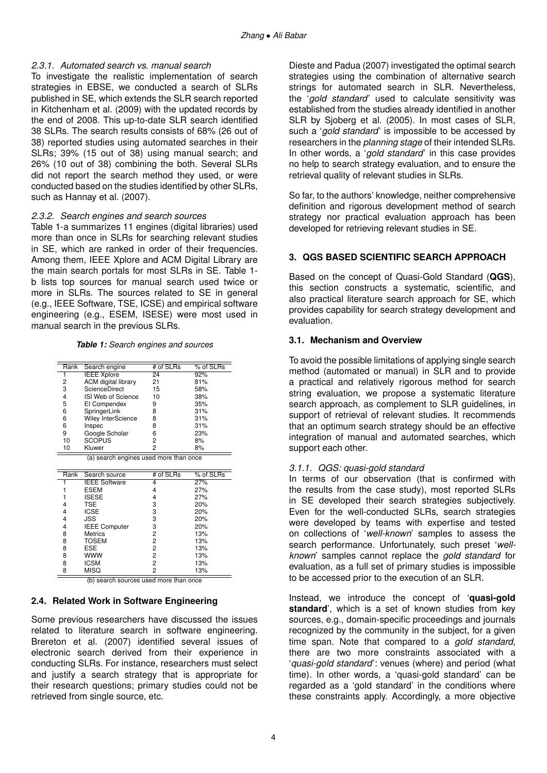# *2.3.1. Automated search vs. manual search*

To investigate the realistic implementation of search strategies in EBSE, we conducted a search of SLRs published in SE, which extends the SLR search reported in Kitchenham et al. (2009) with the updated records by the end of 2008. This up-to-date SLR search identified 38 SLRs. The search results consists of 68% (26 out of 38) reported studies using automated searches in their SLRs; 39% (15 out of 38) using manual search; and 26% (10 out of 38) combining the both. Several SLRs did not report the search method they used, or were conducted based on the studies identified by other SLRs, such as Hannay et al. (2007).

#### *2.3.2. Search engines and search sources*

Table 1-a summarizes 11 engines (digital libraries) used more than once in SLRs for searching relevant studies in SE, which are ranked in order of their frequencies. Among them, IEEE Xplore and ACM Digital Library are the main search portals for most SLRs in SE. Table 1 b lists top sources for manual search used twice or more in SLRs. The sources related to SE in general (e.g., IEEE Software, TSE, ICSE) and empirical software engineering (e.g., ESEM, ISESE) were most used in manual search in the previous SLRs.

*Table 1: Search engines and sources*

| Rank | Search engine                          | # of SLRs | % of SLRs   |
|------|----------------------------------------|-----------|-------------|
|      | <b>IEEE Xplore</b>                     | 24        | 92%         |
| 2    | <b>ACM</b> digital library             | 21        | 81%         |
| 3    | ScienceDirect                          | 15        | 58%         |
| 4    | ISI Web of Science                     | 10        | 38%         |
| 5    | EI Compendex                           | 9         | 35%         |
| 6    | SpringerLink                           | 8         | 31%         |
| 6    | <b>Wiley InterScience</b>              | 8         | 31%         |
| 6    | Inspec                                 | 8         | 31%         |
| 9    | Google Scholar                         | 6         | 23%         |
| 10   | <b>SCOPUS</b>                          | 2         | 8%          |
| 10   | Kluwer                                 | 2         | 8%          |
|      | (a) search engines used more than once |           |             |
| Rank | Search source                          | # of SLRs | $%$ of SLRs |
|      | <b>IEEE</b> Software                   | 4         | 27%         |
|      | ESEM                                   | 4         | 27%         |
|      | <b>ISESE</b>                           | 4         | 27%         |
|      | TSE                                    | 3         | 20%         |
| 4    | <b>ICSE</b>                            | 3         | 20%         |

| 4 | 15E                  | 3 | 20% |
|---|----------------------|---|-----|
| 4 | <b>ICSE</b>          | 3 | 20% |
| 4 | <b>JSS</b>           | 3 | 20% |
| 4 | <b>IEEE Computer</b> | 3 | 20% |
| 8 | <b>Metrics</b>       | 2 | 13% |
| 8 | <b>TOSEM</b>         | 2 | 13% |
| 8 | <b>ESE</b>           | 2 | 13% |
| 8 | <b>WWW</b>           | 2 | 13% |
| 8 | <b>ICSM</b>          | 2 | 13% |
| 8 | <b>MISQ</b>          | 2 | 13% |
|   |                      |   |     |

(b) search sources used more than once

# **2.4. Related Work in Software Engineering**

Some previous researchers have discussed the issues related to literature search in software engineering. Brereton et al. (2007) identified several issues of electronic search derived from their experience in conducting SLRs. For instance, researchers must select and justify a search strategy that is appropriate for their research questions; primary studies could not be retrieved from single source, etc.

Dieste and Padua (2007) investigated the optimal search strategies using the combination of alternative search strings for automated search in SLR. Nevertheless, the '*gold standard*' used to calculate sensitivity was established from the studies already identified in another SLR by Sjoberg et al. (2005). In most cases of SLR, such a '*gold standard*' is impossible to be accessed by researchers in the *planning stage* of their intended SLRs. In other words, a '*gold standard*' in this case provides no help to search strategy evaluation, and to ensure the retrieval quality of relevant studies in SLRs.

So far, to the authors' knowledge, neither comprehensive definition and rigorous development method of search strategy nor practical evaluation approach has been developed for retrieving relevant studies in SE.

# **3. QGS BASED SCIENTIFIC SEARCH APPROACH**

Based on the concept of Quasi-Gold Standard (**QGS**), this section constructs a systematic, scientific, and also practical literature search approach for SE, which provides capability for search strategy development and evaluation.

# **3.1. Mechanism and Overview**

To avoid the possible limitations of applying single search method (automated or manual) in SLR and to provide a practical and relatively rigorous method for search string evaluation, we propose a systematic literature search approach, as complement to SLR guidelines, in support of retrieval of relevant studies. It recommends that an optimum search strategy should be an effective integration of manual and automated searches, which support each other.

# *3.1.1. QGS: quasi-gold standard*

In terms of our observation (that is confirmed with the results from the case study), most reported SLRs in SE developed their search strategies subjectively. Even for the well-conducted SLRs, search strategies were developed by teams with expertise and tested on collections of '*well-known*' samples to assess the search performance. Unfortunately, such preset '*wellknown*' samples cannot replace the *gold standard* for evaluation, as a full set of primary studies is impossible to be accessed prior to the execution of an SLR.

Instead, we introduce the concept of '**quasi-gold standard**', which is a set of known studies from key sources, e.g., domain-specific proceedings and journals recognized by the community in the subject, for a given time span. Note that compared to a *gold standard*, there are two more constraints associated with a '*quasi-gold standard*': venues (where) and period (what time). In other words, a 'quasi-gold standard' can be regarded as a 'gold standard' in the conditions where these constraints apply. Accordingly, a more objective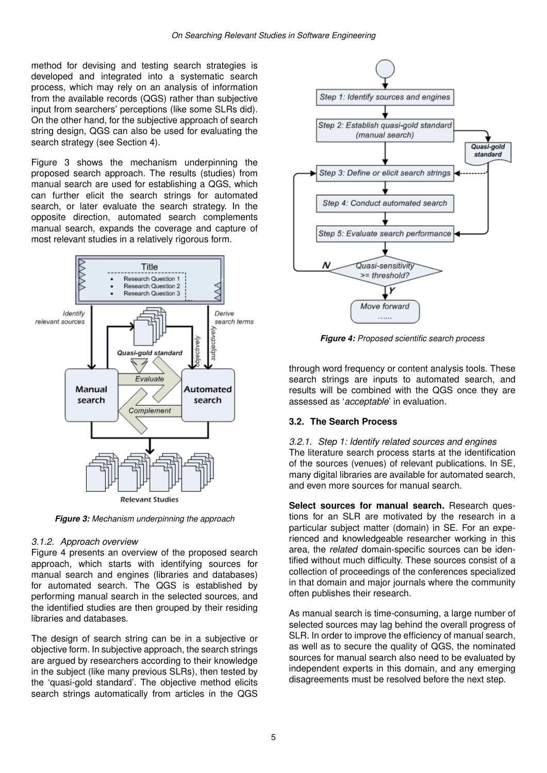method for devising and testing search strategies is developed and integrated into a systematic search process, which may rely on an analysis of information from the available records (QGS) rather than subjective input from searchers' perceptions (like some SLRs did). On the other hand, for the subjective approach of search string design, QGS can also be used for evaluating the search strategy (see Section 4).

Figure 3 shows the mechanism underpinning the proposed search approach. The results (studies) from manual search are used for establishing a QGS, which can further elicit the search strings for automated search, or later evaluate the search strategy. In the opposite direction, automated search complements manual search, expands the coverage and capture of most relevant studies in a relatively rigorous form.



*Figure 3: Mechanism underpinning the approach*

# *3.1.2. Approach overview*

Figure 4 presents an overview of the proposed search approach, which starts with identifying sources for manual search and engines (libraries and databases) for automated search. The QGS is established by performing manual search in the selected sources, and the identified studies are then grouped by their residing libraries and databases.

The design of search string can be in a subjective or objective form. In subjective approach, the search strings are argued by researchers according to their knowledge in the subject (like many previous SLRs), then tested by the 'quasi-gold standard'. The objective method elicits search strings automatically from articles in the QGS



*Figure 4: Proposed scientific search process*

through word frequency or content analysis tools. These search strings are inputs to automated search, and results will be combined with the QGS once they are assessed as '*acceptable*' in evaluation.

# **3.2. The Search Process**

*3.2.1. Step 1: Identify related sources and engines* The literature search process starts at the identification of the sources (venues) of relevant publications. In SE, many digital libraries are available for automated search, and even more sources for manual search.

**Select sources for manual search.** Research questions for an SLR are motivated by the research in a particular subject matter (domain) in SE. For an experienced and knowledgeable researcher working in this area, the *related* domain-specific sources can be identified without much difficulty. These sources consist of a collection of proceedings of the conferences specialized in that domain and major journals where the community often publishes their research.

As manual search is time-consuming, a large number of selected sources may lag behind the overall progress of SLR. In order to improve the efficiency of manual search, as well as to secure the quality of QGS, the nominated sources for manual search also need to be evaluated by independent experts in this domain, and any emerging disagreements must be resolved before the next step.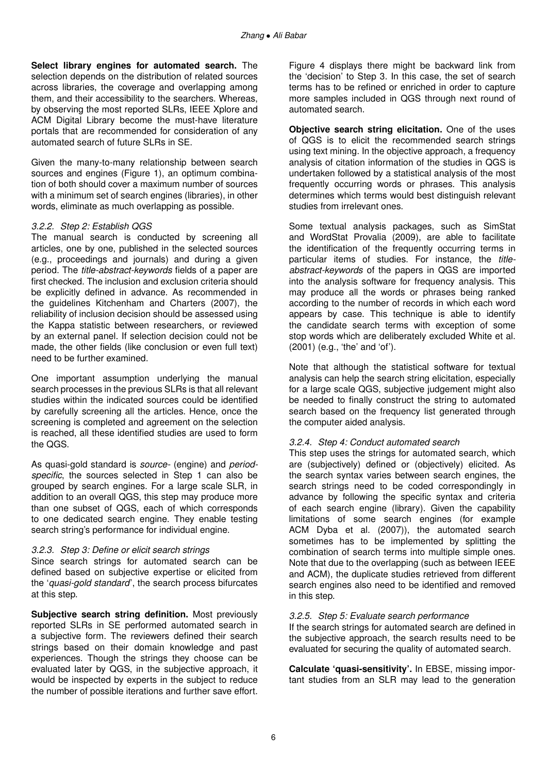**Select library engines for automated search.** The selection depends on the distribution of related sources across libraries, the coverage and overlapping among them, and their accessibility to the searchers. Whereas, by observing the most reported SLRs, IEEE Xplore and ACM Digital Library become the must-have literature portals that are recommended for consideration of any automated search of future SLRs in SE.

Given the many-to-many relationship between search sources and engines (Figure 1), an optimum combination of both should cover a maximum number of sources with a minimum set of search engines (libraries), in other words, eliminate as much overlapping as possible.

#### *3.2.2. Step 2: Establish QGS*

The manual search is conducted by screening all articles, one by one, published in the selected sources (e.g., proceedings and journals) and during a given period. The *title-abstract-keywords* fields of a paper are first checked. The inclusion and exclusion criteria should be explicitly defined in advance. As recommended in the guidelines Kitchenham and Charters (2007), the reliability of inclusion decision should be assessed using the Kappa statistic between researchers, or reviewed by an external panel. If selection decision could not be made, the other fields (like conclusion or even full text) need to be further examined.

One important assumption underlying the manual search processes in the previous SLRs is that all relevant studies within the indicated sources could be identified by carefully screening all the articles. Hence, once the screening is completed and agreement on the selection is reached, all these identified studies are used to form the QGS.

As quasi-gold standard is *source-* (engine) and *periodspecific*, the sources selected in Step 1 can also be grouped by search engines. For a large scale SLR, in addition to an overall QGS, this step may produce more than one subset of QGS, each of which corresponds to one dedicated search engine. They enable testing search string's performance for individual engine.

#### *3.2.3. Step 3: Define or elicit search strings*

Since search strings for automated search can be defined based on subjective expertise or elicited from the '*quasi-gold standard*', the search process bifurcates at this step.

**Subjective search string definition.** Most previously reported SLRs in SE performed automated search in a subjective form. The reviewers defined their search strings based on their domain knowledge and past experiences. Though the strings they choose can be evaluated later by QGS, in the subjective approach, it would be inspected by experts in the subject to reduce the number of possible iterations and further save effort.

Figure 4 displays there might be backward link from the 'decision' to Step 3. In this case, the set of search terms has to be refined or enriched in order to capture more samples included in QGS through next round of automated search.

**Objective search string elicitation.** One of the uses of QGS is to elicit the recommended search strings using text mining. In the objective approach, a frequency analysis of citation information of the studies in QGS is undertaken followed by a statistical analysis of the most frequently occurring words or phrases. This analysis determines which terms would best distinguish relevant studies from irrelevant ones.

Some textual analysis packages, such as SimStat and WordStat Provalia (2009), are able to facilitate the identification of the frequently occurring terms in particular items of studies. For instance, the *titleabstract-keywords* of the papers in QGS are imported into the analysis software for frequency analysis. This may produce all the words or phrases being ranked according to the number of records in which each word appears by case. This technique is able to identify the candidate search terms with exception of some stop words which are deliberately excluded White et al. (2001) (e.g., 'the' and 'of').

Note that although the statistical software for textual analysis can help the search string elicitation, especially for a large scale QGS, subjective judgement might also be needed to finally construct the string to automated search based on the frequency list generated through the computer aided analysis.

#### *3.2.4. Step 4: Conduct automated search*

This step uses the strings for automated search, which are (subjectively) defined or (objectively) elicited. As the search syntax varies between search engines, the search strings need to be coded correspondingly in advance by following the specific syntax and criteria of each search engine (library). Given the capability limitations of some search engines (for example ACM Dyba et al. (2007)), the automated search sometimes has to be implemented by splitting the combination of search terms into multiple simple ones. Note that due to the overlapping (such as between IEEE and ACM), the duplicate studies retrieved from different search engines also need to be identified and removed in this step.

#### *3.2.5. Step 5: Evaluate search performance*

If the search strings for automated search are defined in the subjective approach, the search results need to be evaluated for securing the quality of automated search.

**Calculate 'quasi-sensitivity'.** In EBSE, missing important studies from an SLR may lead to the generation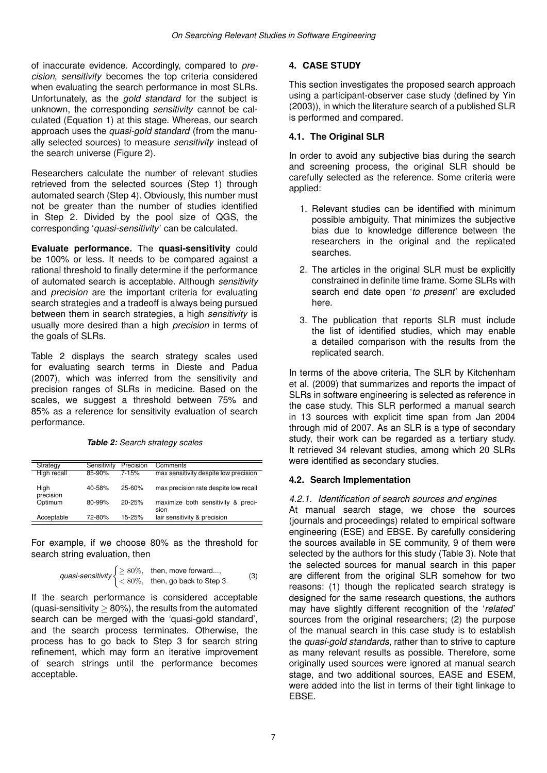of inaccurate evidence. Accordingly, compared to *precision*, *sensitivity* becomes the top criteria considered when evaluating the search performance in most SLRs. Unfortunately, as the *gold standard* for the subject is unknown, the corresponding *sensitivity* cannot be calculated (Equation 1) at this stage. Whereas, our search approach uses the *quasi-gold standard* (from the manually selected sources) to measure *sensitivity* instead of the search universe (Figure 2).

Researchers calculate the number of relevant studies retrieved from the selected sources (Step 1) through automated search (Step 4). Obviously, this number must not be greater than the number of studies identified in Step 2. Divided by the pool size of QGS, the corresponding '*quasi-sensitivity*' can be calculated.

**Evaluate performance.** The **quasi-sensitivity** could be 100% or less. It needs to be compared against a rational threshold to finally determine if the performance of automated search is acceptable. Although *sensitivity* and *precision* are the important criteria for evaluating search strategies and a tradeoff is always being pursued between them in search strategies, a high *sensitivity* is usually more desired than a high *precision* in terms of the goals of SLRs.

Table 2 displays the search strategy scales used for evaluating search terms in Dieste and Padua (2007), which was inferred from the sensitivity and precision ranges of SLRs in medicine. Based on the scales, we suggest a threshold between 75% and 85% as a reference for sensitivity evaluation of search performance.

*Table 2: Search strategy scales*

| Strategy          | Sensitivity | Precision  | Comments                                   |
|-------------------|-------------|------------|--------------------------------------------|
| High recall       | 85-90%      | $7 - 15%$  | max sensitivity despite low precision      |
| High<br>precision | $40 - 58%$  | $25 - 60%$ | max precision rate despite low recall      |
| Optimum           | $80 - 99%$  | $20 - 25%$ | maximize both sensitivity & preci-<br>sion |
| Acceptable        | 72-80%      | $15 - 25%$ | fair sensitivity & precision               |

For example, if we choose 80% as the threshold for search string evaluation, then

quasi-sensitivity 
$$
\begin{cases} \ge 80\%, & \text{then, move forward...}, \\ < 80\%, & \text{then, go back to Step 3.} \end{cases}
$$
 (3)

If the search performance is considered acceptable (quasi-sensitivity  $> 80\%$ ), the results from the automated search can be merged with the 'quasi-gold standard', and the search process terminates. Otherwise, the process has to go back to Step 3 for search string refinement, which may form an iterative improvement of search strings until the performance becomes acceptable.

# **4. CASE STUDY**

This section investigates the proposed search approach using a participant-observer case study (defined by Yin (2003)), in which the literature search of a published SLR is performed and compared.

# **4.1. The Original SLR**

In order to avoid any subjective bias during the search and screening process, the original SLR should be carefully selected as the reference. Some criteria were applied:

- 1. Relevant studies can be identified with minimum possible ambiguity. That minimizes the subjective bias due to knowledge difference between the researchers in the original and the replicated searches.
- 2. The articles in the original SLR must be explicitly constrained in definite time frame. Some SLRs with search end date open '*to present*' are excluded here.
- 3. The publication that reports SLR must include the list of identified studies, which may enable a detailed comparison with the results from the replicated search.

In terms of the above criteria, The SLR by Kitchenham et al. (2009) that summarizes and reports the impact of SLRs in software engineering is selected as reference in the case study. This SLR performed a manual search in 13 sources with explicit time span from Jan 2004 through mid of 2007. As an SLR is a type of secondary study, their work can be regarded as a tertiary study. It retrieved 34 relevant studies, among which 20 SLRs were identified as secondary studies.

# **4.2. Search Implementation**

# *4.2.1. Identification of search sources and engines*

At manual search stage, we chose the sources (journals and proceedings) related to empirical software engineering (ESE) and EBSE. By carefully considering the sources available in SE community, 9 of them were selected by the authors for this study (Table 3). Note that the selected sources for manual search in this paper are different from the original SLR somehow for two reasons: (1) though the replicated search strategy is designed for the same research questions, the authors may have slightly different recognition of the '*related*' sources from the original researchers; (2) the purpose of the manual search in this case study is to establish the *quasi-gold standards*, rather than to strive to capture as many relevant results as possible. Therefore, some originally used sources were ignored at manual search stage, and two additional sources, EASE and ESEM, were added into the list in terms of their tight linkage to EBSE.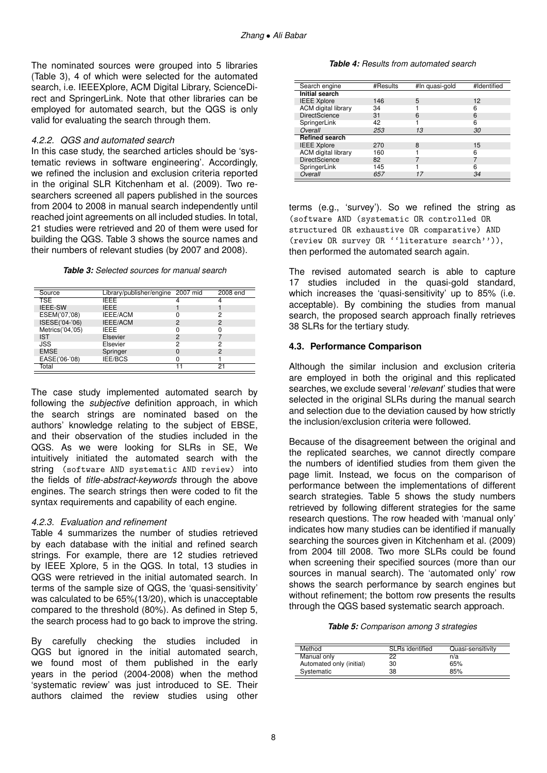The nominated sources were grouped into 5 libraries (Table 3), 4 of which were selected for the automated search, i.e. IEEEXplore, ACM Digital Library, ScienceDirect and SpringerLink. Note that other libraries can be employed for automated search, but the QGS is only valid for evaluating the search through them.

### *4.2.2. QGS and automated search*

In this case study, the searched articles should be 'systematic reviews in software engineering'. Accordingly, we refined the inclusion and exclusion criteria reported in the original SLR Kitchenham et al. (2009). Two researchers screened all papers published in the sources from 2004 to 2008 in manual search independently until reached joint agreements on all included studies. In total, 21 studies were retrieved and 20 of them were used for building the QGS. Table 3 shows the source names and their numbers of relevant studies (by 2007 and 2008).

*Table 3: Selected sources for manual search*

| Source           | Library/publisher/engine 2007 mid |   | 2008 end |
|------------------|-----------------------------------|---|----------|
| <b>TSE</b>       | IFFF                              |   |          |
| <b>IEEE-SW</b>   | <b>IFFF</b>                       |   |          |
| ESEM('07,'08)    | <b>IEEE/ACM</b>                   |   | 2        |
| ISESE('04-'06)   | IEEE/ACM                          | 2 | 2        |
| Metrics('04,'05) | <b>IFFF</b>                       | 0 |          |
| <b>IST</b>       | Elsevier                          | 2 |          |
| JSS              | Elsevier                          | 2 | 2        |
| <b>EMSE</b>      | Springer                          | 0 | 2        |
| EASE('06-'08)    | IEE/BCS                           | 0 |          |
| Total            |                                   |   | 21       |

The case study implemented automated search by following the *subjective* definition approach, in which the search strings are nominated based on the authors' knowledge relating to the subject of EBSE, and their observation of the studies included in the QGS. As we were looking for SLRs in SE, We intuitively initiated the automated search with the string (software AND systematic AND review) into the fields of *title-abstract-keywords* through the above engines. The search strings then were coded to fit the syntax requirements and capability of each engine.

# *4.2.3. Evaluation and refinement*

Table 4 summarizes the number of studies retrieved by each database with the initial and refined search strings. For example, there are 12 studies retrieved by IEEE Xplore, 5 in the QGS. In total, 13 studies in QGS were retrieved in the initial automated search. In terms of the sample size of QGS, the 'quasi-sensitivity' was calculated to be 65%(13/20), which is unacceptable compared to the threshold (80%). As defined in Step 5, the search process had to go back to improve the string.

By carefully checking the studies included in QGS but ignored in the initial automated search, we found most of them published in the early years in the period (2004-2008) when the method 'systematic review' was just introduced to SE. Their authors claimed the review studies using other

#### *Table 4: Results from automated search*

| Search engine              | #Results | #In quasi-gold | #Identified |
|----------------------------|----------|----------------|-------------|
| <b>Initial search</b>      |          |                |             |
| <b>IEEE Xplore</b>         | 146      | 5              | 12          |
| <b>ACM</b> digital library | 34       |                | հ           |
| <b>DirectScience</b>       | 31       | 6              | 6           |
| SpringerLink               | 42       |                | 6           |
| Overall                    | 253      | 13             | 30          |
| <b>Refined search</b>      |          |                |             |
| <b>IEEE Xplore</b>         | 270      | 8              | 15          |
| <b>ACM</b> digital library | 160      |                | 6           |
| <b>DirectScience</b>       | 82       |                |             |
| SpringerLink               | 145      |                | 6           |
| Overall                    | 657      | 17             | 34          |

terms (e.g., 'survey'). So we refined the string as (software AND (systematic OR controlled OR structured OR exhaustive OR comparative) AND (review OR survey OR ''literature search'')), then performed the automated search again.

The revised automated search is able to capture 17 studies included in the quasi-gold standard, which increases the 'quasi-sensitivity' up to 85% (i.e. acceptable). By combining the studies from manual search, the proposed search approach finally retrieves 38 SLRs for the tertiary study.

# **4.3. Performance Comparison**

Although the similar inclusion and exclusion criteria are employed in both the original and this replicated searches, we exclude several '*relevant*' studies that were selected in the original SLRs during the manual search and selection due to the deviation caused by how strictly the inclusion/exclusion criteria were followed.

Because of the disagreement between the original and the replicated searches, we cannot directly compare the numbers of identified studies from them given the page limit. Instead, we focus on the comparison of performance between the implementations of different search strategies. Table 5 shows the study numbers retrieved by following different strategies for the same research questions. The row headed with 'manual only' indicates how many studies can be identified if manually searching the sources given in Kitchenham et al. (2009) from 2004 till 2008. Two more SLRs could be found when screening their specified sources (more than our sources in manual search). The 'automated only' row shows the search performance by search engines but without refinement; the bottom row presents the results through the QGS based systematic search approach.

*Table 5: Comparison among 3 strategies*

| Method                   | SLRs identified | Quasi-sensitivity |
|--------------------------|-----------------|-------------------|
| Manual only              | 22              | n/a               |
| Automated only (initial) | 30              | 65%               |
| Systematic               | 38              | 85%               |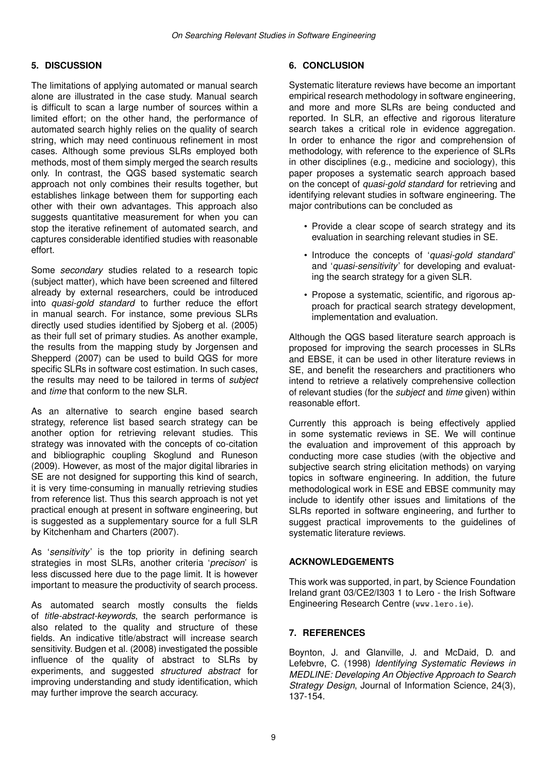# **5. DISCUSSION**

The limitations of applying automated or manual search alone are illustrated in the case study. Manual search is difficult to scan a large number of sources within a limited effort; on the other hand, the performance of automated search highly relies on the quality of search string, which may need continuous refinement in most cases. Although some previous SLRs employed both methods, most of them simply merged the search results only. In contrast, the QGS based systematic search approach not only combines their results together, but establishes linkage between them for supporting each other with their own advantages. This approach also suggests quantitative measurement for when you can stop the iterative refinement of automated search, and captures considerable identified studies with reasonable effort.

Some *secondary* studies related to a research topic (subject matter), which have been screened and filtered already by external researchers, could be introduced into *quasi-gold standard* to further reduce the effort in manual search. For instance, some previous SLRs directly used studies identified by Sjoberg et al. (2005) as their full set of primary studies. As another example, the results from the mapping study by Jorgensen and Shepperd (2007) can be used to build QGS for more specific SLRs in software cost estimation. In such cases, the results may need to be tailored in terms of *subject* and *time* that conform to the new SLR.

As an alternative to search engine based search strategy, reference list based search strategy can be another option for retrieving relevant studies. This strategy was innovated with the concepts of co-citation and bibliographic coupling Skoglund and Runeson (2009). However, as most of the major digital libraries in SE are not designed for supporting this kind of search, it is very time-consuming in manually retrieving studies from reference list. Thus this search approach is not yet practical enough at present in software engineering, but is suggested as a supplementary source for a full SLR by Kitchenham and Charters (2007).

As '*sensitivity*' is the top priority in defining search strategies in most SLRs, another criteria '*precison*' is less discussed here due to the page limit. It is however important to measure the productivity of search process.

As automated search mostly consults the fields of *title-abstract-keywords*, the search performance is also related to the quality and structure of these fields. An indicative title/abstract will increase search sensitivity. Budgen et al. (2008) investigated the possible influence of the quality of abstract to SLRs by experiments, and suggested *structured abstract* for improving understanding and study identification, which may further improve the search accuracy.

# **6. CONCLUSION**

Systematic literature reviews have become an important empirical research methodology in software engineering, and more and more SLRs are being conducted and reported. In SLR, an effective and rigorous literature search takes a critical role in evidence aggregation. In order to enhance the rigor and comprehension of methodology, with reference to the experience of SLRs in other disciplines (e.g., medicine and sociology), this paper proposes a systematic search approach based on the concept of *quasi-gold standard* for retrieving and identifying relevant studies in software engineering. The major contributions can be concluded as

- Provide a clear scope of search strategy and its evaluation in searching relevant studies in SE.
- Introduce the concepts of '*quasi-gold standard*' and '*quasi-sensitivity*' for developing and evaluating the search strategy for a given SLR.
- Propose a systematic, scientific, and rigorous approach for practical search strategy development, implementation and evaluation.

Although the QGS based literature search approach is proposed for improving the search processes in SLRs and EBSE, it can be used in other literature reviews in SE, and benefit the researchers and practitioners who intend to retrieve a relatively comprehensive collection of relevant studies (for the *subject* and *time* given) within reasonable effort.

Currently this approach is being effectively applied in some systematic reviews in SE. We will continue the evaluation and improvement of this approach by conducting more case studies (with the objective and subjective search string elicitation methods) on varying topics in software engineering. In addition, the future methodological work in ESE and EBSE community may include to identify other issues and limitations of the SLRs reported in software engineering, and further to suggest practical improvements to the guidelines of systematic literature reviews.

# **ACKNOWLEDGEMENTS**

This work was supported, in part, by Science Foundation Ireland grant 03/CE2/I303 1 to Lero - the Irish Software Engineering Research Centre (www.lero.ie).

# **7. REFERENCES**

Boynton, J. and Glanville, J. and McDaid, D. and Lefebvre, C. (1998) *Identifying Systematic Reviews in MEDLINE: Developing An Objective Approach to Search Strategy Design*, Journal of Information Science, 24(3), 137-154.